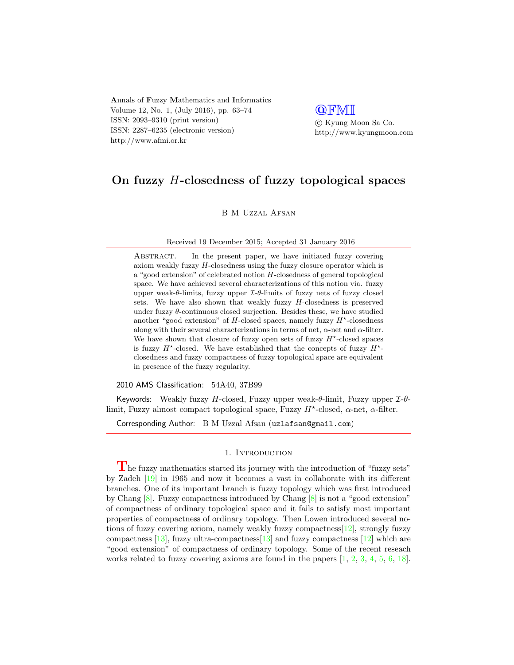Annals of Fuzzy Mathematics and Informatics Volume 12, No. 1, (July 2016), pp. 63–74 ISSN: 2093–9310 (print version) ISSN: 2287–6235 (electronic version) http://www.afmi.or.kr

**QFMI**  c Kyung Moon Sa Co. http://www.kyungmoon.com

# On fuzzy H-closedness of fuzzy topological spaces

B M Uzzal Afsan

Received 19 December 2015; Accepted 31 January 2016

ABSTRACT. In the present paper, we have initiated fuzzy covering axiom weakly fuzzy H-closedness using the fuzzy closure operator which is a "good extension" of celebrated notion  $H$ -closedness of general topological space. We have achieved several characterizations of this notion via. fuzzy upper weak- $\theta$ -limits, fuzzy upper  $\mathcal{I}\text{-}\theta$ -limits of fuzzy nets of fuzzy closed sets. We have also shown that weakly fuzzy  $H$ -closedness is preserved under fuzzy  $\theta$ -continuous closed surjection. Besides these, we have studied another "good extension" of  $H$ -closed spaces, namely fuzzy  $H^*$ -closedness along with their several characterizations in terms of net,  $\alpha$ -net and  $\alpha$ -filter. We have shown that closure of fuzzy open sets of fuzzy  $H^*$ -closed spaces is fuzzy  $H^*$ -closed. We have established that the concepts of fuzzy  $H^*$ closedness and fuzzy compactness of fuzzy topological space are equivalent in presence of the fuzzy regularity.

2010 AMS Classification: 54A40, 37B99

Keywords: Weakly fuzzy H-closed, Fuzzy upper weak- $\theta$ -limit, Fuzzy upper  $\mathcal{I}-\theta$ limit, Fuzzy almost compact topological space, Fuzzy  $H^*$ -closed,  $\alpha$ -net,  $\alpha$ -filter.

Corresponding Author: B M Uzzal Afsan (uzlafsan@gmail.com)

## 1. INTRODUCTION

The fuzzy mathematics started its journey with the introduction of "fuzzy sets" by Zadeh [\[19\]](#page-11-0) in 1965 and now it becomes a vast in collaborate with its different branches. One of its important branch is fuzzy topology which was first introduced by Chang [\[8\]](#page-10-0). Fuzzy compactness introduced by Chang [\[8\]](#page-10-0) is not a "good extension" of compactness of ordinary topological space and it fails to satisfy most important properties of compactness of ordinary topology. Then Lowen introduced several notions of fuzzy covering axiom, namely weakly fuzzy compactness[\[12\]](#page-11-1), strongly fuzzy compactness  $[13]$ , fuzzy ultra-compactness  $[13]$  and fuzzy compactness  $[12]$  which are "good extension" of compactness of ordinary topology. Some of the recent reseach works related to fuzzy covering axioms are found in the papers  $[1, 2, 3, 4, 5, 6, 18]$  $[1, 2, 3, 4, 5, 6, 18]$  $[1, 2, 3, 4, 5, 6, 18]$  $[1, 2, 3, 4, 5, 6, 18]$  $[1, 2, 3, 4, 5, 6, 18]$  $[1, 2, 3, 4, 5, 6, 18]$  $[1, 2, 3, 4, 5, 6, 18]$  $[1, 2, 3, 4, 5, 6, 18]$  $[1, 2, 3, 4, 5, 6, 18]$  $[1, 2, 3, 4, 5, 6, 18]$  $[1, 2, 3, 4, 5, 6, 18]$  $[1, 2, 3, 4, 5, 6, 18]$  $[1, 2, 3, 4, 5, 6, 18]$ .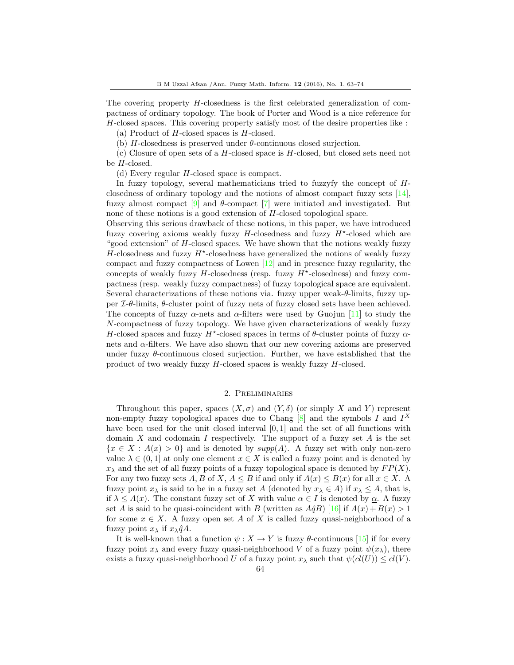The covering property H-closedness is the first celebrated generalization of compactness of ordinary topology. The book of Porter and Wood is a nice reference for H-closed spaces. This covering property satisfy most of the desire properties like :

(a) Product of  $H$ -closed spaces is  $H$ -closed.

(b)  $H$ -closedness is preserved under  $\theta$ -continuous closed surjection.

 $(c)$  Closure of open sets of a H-closed space is H-closed, but closed sets need not be H-closed.

(d) Every regular H-closed space is compact.

In fuzzy topology, several mathematicians tried to fuzzyfy the concept of Hclosedness of ordinary topology and the notions of almost compact fuzzy sets [\[14\]](#page-11-4), fuzzy almost compact  $[9]$  and  $\theta$ -compact  $[7]$  were initiated and investigated. But none of these notions is a good extension of H-closed topological space.

Observing this serious drawback of these notions, in this paper, we have introduced fuzzy covering axioms weakly fuzzy  $H$ -closedness and fuzzy  $H^*$ -closed which are "good extension" of  $H$ -closed spaces. We have shown that the notions weakly fuzzy  $H$ -closedness and fuzzy  $H^*$ -closedness have generalized the notions of weakly fuzzy compact and fuzzy compactness of Lowen [\[12\]](#page-11-1) and in presence fuzzy regularity, the concepts of weakly fuzzy  $H$ -closedness (resp. fuzzy  $H^*$ -closedness) and fuzzy compactness (resp. weakly fuzzy compactness) of fuzzy topological space are equivalent. Several characterizations of these notions via. fuzzy upper weak- $\theta$ -limits, fuzzy upper  $\mathcal{I}\text{-}\theta$ -limits,  $\theta$ -cluster point of fuzzy nets of fuzzy closed sets have been achieved. The concepts of fuzzy  $\alpha$ -nets and  $\alpha$ -filters were used by Guojun [\[11\]](#page-11-6) to study the N-compactness of fuzzy topology. We have given characterizations of weakly fuzzy H-closed spaces and fuzzy  $H^*$ -closed spaces in terms of  $\theta$ -cluster points of fuzzy  $\alpha$ nets and  $\alpha$ -filters. We have also shown that our new covering axioms are preserved under fuzzy  $\theta$ -continuous closed surjection. Further, we have established that the product of two weakly fuzzy H-closed spaces is weakly fuzzy H-closed.

## 2. Preliminaries

Throughout this paper, spaces  $(X, \sigma)$  and  $(Y, \delta)$  (or simply X and Y) represent non-empty fuzzy topological spaces due to Chang  $[8]$  and the symbols I and  $I^X$ have been used for the unit closed interval  $[0, 1]$  and the set of all functions with domain X and codomain I respectively. The support of a fuzzy set  $A$  is the set  ${x \in X : A(x) > 0}$  and is denoted by  $supp(A)$ . A fuzzy set with only non-zero value  $\lambda \in (0,1]$  at only one element  $x \in X$  is called a fuzzy point and is denoted by  $x_{\lambda}$  and the set of all fuzzy points of a fuzzy topological space is denoted by  $FP(X)$ . For any two fuzzy sets A, B of X,  $A \leq B$  if and only if  $A(x) \leq B(x)$  for all  $x \in X$ . A fuzzy point  $x_\lambda$  is said to be in a fuzzy set A (denoted by  $x_\lambda \in A$ ) if  $x_\lambda \leq A$ , that is, if  $\lambda \leq A(x)$ . The constant fuzzy set of X with value  $\alpha \in I$  is denoted by  $\alpha$ . A fuzzy set A is said to be quasi-coincident with B (written as  $A\hat{q}B$ ) [\[16\]](#page-11-7) if  $A(x) + B(x) > 1$ for some  $x \in X$ . A fuzzy open set A of X is called fuzzy quasi-neighborhood of a fuzzy point  $x_{\lambda}$  if  $x_{\lambda}q\hat{A}$ .

It is well-known that a function  $\psi: X \to Y$  is fuzzy  $\theta$ -continuous [\[15\]](#page-11-8) if for every fuzzy point  $x_\lambda$  and every fuzzy quasi-neighborhood V of a fuzzy point  $\psi(x_\lambda)$ , there exists a fuzzy quasi-neighborhood U of a fuzzy point  $x_{\lambda}$  such that  $\psi(cl(U)) \leq cl(V)$ .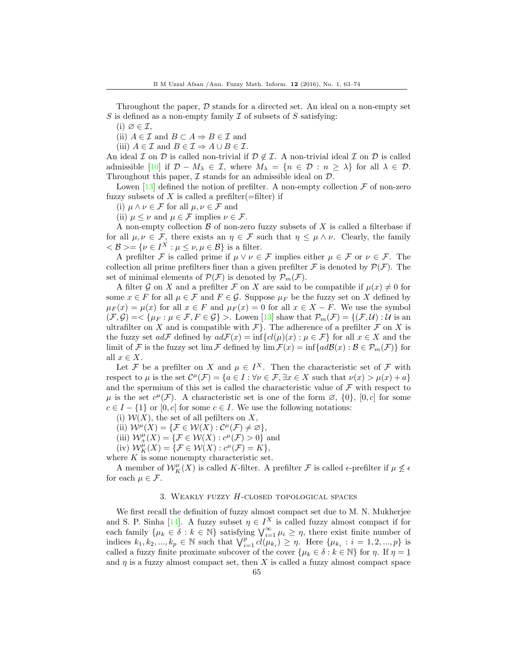Throughout the paper,  $D$  stands for a directed set. An ideal on a non-empty set S is defined as a non-empty family  $\mathcal I$  of subsets of S satisfying:

 $(i) \varnothing \in \mathcal{I}$ ,

(ii)  $A \in \mathcal{I}$  and  $B \subset A \Rightarrow B \in \mathcal{I}$  and

(iii)  $A \in \mathcal{I}$  and  $B \in \mathcal{I} \Rightarrow A \cup B \in \mathcal{I}$ .

An ideal I on D is called non-trivial if  $\mathcal{D} \notin \mathcal{I}$ . A non-trivial ideal I on D is called admissible [\[10\]](#page-11-9) if  $\mathcal{D} - M_{\lambda} \in \mathcal{I}$ , where  $M_{\lambda} = \{n \in \mathcal{D} : n \geq \lambda\}$  for all  $\lambda \in \mathcal{D}$ . Throughout this paper,  $\mathcal I$  stands for an admissible ideal on  $\mathcal D$ .

Lowen [\[13\]](#page-11-2) defined the notion of prefilter. A non-empty collection  $\mathcal F$  of non-zero fuzzy subsets of X is called a prefilter(=filter) if

(i)  $\mu \wedge \nu \in \mathcal{F}$  for all  $\mu, \nu \in \mathcal{F}$  and

(ii)  $\mu \leq \nu$  and  $\mu \in \mathcal{F}$  implies  $\nu \in \mathcal{F}$ .

A non-empty collection  $\beta$  of non-zero fuzzy subsets of X is called a filterbase if for all  $\mu, \nu \in \mathcal{F}$ , there exists an  $\eta \in \mathcal{F}$  such that  $\eta \leq \mu \wedge \nu$ . Clearly, the family  $\langle \mathcal{B} \rangle = \{ \nu \in I^X : \mu \leq \nu, \mu \in \mathcal{B} \}$  is a filter.

A prefilter F is called prime if  $\mu \vee \nu \in \mathcal{F}$  implies either  $\mu \in \mathcal{F}$  or  $\nu \in \mathcal{F}$ . The collection all prime prefilters finer than a given prefilter F is denoted by  $\mathcal{P}(\mathcal{F})$ . The set of minimal elements of  $\mathcal{P}(\mathcal{F})$  is denoted by  $\mathcal{P}_m(\mathcal{F})$ .

A filter G on X and a prefilter F on X are said to be compatible if  $\mu(x) \neq 0$  for some  $x \in F$  for all  $\mu \in \mathcal{F}$  and  $F \in \mathcal{G}$ . Suppose  $\mu_F$  be the fuzzy set on X defined by  $\mu_F(x) = \mu(x)$  for all  $x \in F$  and  $\mu_F(x) = 0$  for all  $x \in X - F$ . We use the symbol  $(\mathcal{F}, \mathcal{G}) = \{ \mu_F : \mu \in \mathcal{F}, F \in \mathcal{G} \}$ . Lowen [\[13\]](#page-11-2) shaw that  $\mathcal{P}_m(\mathcal{F}) = \{ (\mathcal{F}, \mathcal{U}) : \mathcal{U} \text{ is an } \}$ ultrafilter on X and is compatible with  $\mathcal{F}\}$ . The adherence of a prefilter  $\mathcal F$  on X is the fuzzy set  $ad\mathcal{F}$  defined by  $ad\mathcal{F}(x) = \inf \{ cl(\mu)(x) : \mu \in \mathcal{F} \}$  for all  $x \in X$  and the limit of F is the fuzzy set lim F defined by  $\lim \mathcal{F}(x) = \inf \{ad\mathcal{B}(x) : \mathcal{B} \in \mathcal{P}_m(\mathcal{F})\}$  for all  $x \in X$ .

Let F be a prefilter on X and  $\mu \in I^X$ . Then the characteristic set of F with respect to  $\mu$  is the set  $\mathcal{C}^{\mu}(\mathcal{F}) = \{a \in I : \forall \nu \in \mathcal{F}, \exists x \in X \text{ such that } \nu(x) > \mu(x) + a\}$ and the spermium of this set is called the characteristic value of  $\mathcal F$  with respect to  $\mu$  is the set  $c^{\mu}(\mathcal{F})$ . A characteristic set is one of the form  $\varnothing$ ,  $\{0\}$ ,  $[0, c]$  for some  $c \in I - \{1\}$  or [0, c] for some  $c \in I$ . We use the following notations:

(i)  $W(X)$ , the set of all pefilters on X,

(ii)  $W^{\mu}(X) = \{ \mathcal{F} \in \mathcal{W}(X) : \mathcal{C}^{\mu}(\mathcal{F}) \neq \emptyset \},\$ 

(iii)  $\mathcal{W}^{\mu}_+(X) = \{ \mathcal{F} \in \mathcal{W}(X) : c^{\mu}(\mathcal{F}) > 0 \}$  and

(iv)  $\mathcal{W}_K^{\mu}(X) = \{ \mathcal{F} \in \mathcal{W}(X) : c^{\mu}(\mathcal{F}) = K \},$ 

where  $K$  is some nonempty characteristic set.

A member of  $\mathcal{W}_K^{\mu}(X)$  is called K-filter. A prefilter  $\mathcal F$  is called  $\epsilon$ -prefilter if  $\mu \not\leq \epsilon$ for each  $\mu \in \mathcal{F}$ .

#### 3. Weakly fuzzy H-closed topological spaces

We first recall the definition of fuzzy almost compact set due to M. N. Mukherjee and S. P. Sinha [\[14\]](#page-11-4). A fuzzy subset  $\eta \in I^X$  is called fuzzy almost compact if for each family  $\{\mu_k \in \delta : k \in \mathbb{N}\}\$  satisfying  $\bigvee_{i=1}^{\infty} \mu_i \geq \eta$ , there exist finite number of indices  $k_1, k_2, ..., k_p \in \mathbb{N}$  such that  $\bigvee_{i=1}^p cl(\mu_{k_i}) \geq \eta$ . Here  $\{\mu_{k_i} : i = 1, 2, ..., p\}$  is called a fuzzy finite proximate subcover of the cover  $\{\mu_k \in \delta : k \in \mathbb{N}\}\)$  for  $\eta$ . If  $\eta = \underline{1}$ and  $\eta$  is a fuzzy almost compact set, then X is called a fuzzy almost compact space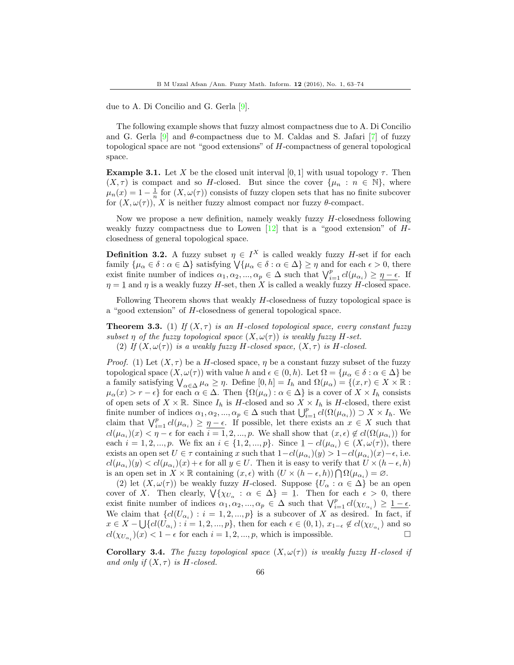due to A. Di Concilio and G. Gerla [\[9\]](#page-11-5).

The following example shows that fuzzy almost compactness due to A. Di Concilio and G. Gerla  $[9]$  and  $\theta$ -compactness due to M. Caldas and S. Jafari [\[7\]](#page-10-7) of fuzzy topological space are not "good extensions" of H-compactness of general topological space.

**Example 3.1.** Let X be the closed unit interval [0, 1] with usual topology  $\tau$ . Then  $(X, \tau)$  is compact and so H-closed. But since the cover  $\{\mu_n : n \in \mathbb{N}\}\$ , where  $\mu_n(x) = 1 - \frac{1}{n}$  for  $(X, \omega(\tau))$  consists of fuzzy clopen sets that has no finite subcover for  $(X, \omega(\tau))$ , X is neither fuzzy almost compact nor fuzzy  $\theta$ -compact.

Now we propose a new definition, namely weakly fuzzy H-closedness following weakly fuzzy compactness due to Lowen  $[12]$  that is a "good extension" of  $H$ closedness of general topological space.

**Definition 3.2.** A fuzzy subset  $\eta \in I^X$  is called weakly fuzzy *H*-set if for each family  $\{\mu_{\alpha} \in \delta : \alpha \in \Delta\}$  satisfying  $\forall \{\mu_{\alpha} \in \delta : \alpha \in \Delta\} \geq \eta$  and for each  $\epsilon > 0$ , there exist finite number of indices  $\alpha_1, \alpha_2, ..., \alpha_p \in \Delta$  such that  $\bigvee_{i=1}^p cl(\mu_{\alpha_i}) \geq \eta - \epsilon$ . If  $\eta = 1$  and  $\eta$  is a weakly fuzzy H-set, then X is called a weakly fuzzy H-closed space.

Following Theorem shows that weakly  $H$ -closedness of fuzzy topological space is a "good extension" of H-closedness of general topological space.

<span id="page-3-0"></span>**Theorem 3.3.** (1) If  $(X, \tau)$  is an H-closed topological space, every constant fuzzy subset  $\eta$  of the fuzzy topological space  $(X, \omega(\tau))$  is weakly fuzzy H-set. (2) If  $(X, \omega(\tau))$  is a weakly fuzzy H-closed space,  $(X, \tau)$  is H-closed.

*Proof.* (1) Let  $(X, \tau)$  be a H-closed space,  $\eta$  be a constant fuzzy subset of the fuzzy topological space  $(X, \omega(\tau))$  with value h and  $\epsilon \in (0, h)$ . Let  $\Omega = {\mu_\alpha \in \delta : \alpha \in \Delta}$  be a family satisfying  $\bigvee_{\alpha \in \Delta} \mu_{\alpha} \geq \eta$ . Define  $[0, h] = I_h$  and  $\Omega(\mu_{\alpha}) = \{(x, r) \in X \times \mathbb{R} :$  $\mu_{\alpha}(x) > r - \epsilon$  for each  $\alpha \in \Delta$ . Then  $\{\Omega(\mu_{\alpha}) : \alpha \in \Delta\}$  is a cover of  $X \times I_h$  consists of open sets of  $X \times \mathbb{R}$ . Since  $I_h$  is H-closed and so  $X \times I_h$  is H-closed, there exist finite number of indices  $\alpha_1, \alpha_2, ..., \alpha_p \in \Delta$  such that  $\bigcup_{i=1}^p cl(\Omega(\mu_{\alpha_i})) \supset X \times I_h$ . We claim that  $\bigvee_{i=1}^p cl(\mu_{\alpha_i}) \geq \eta - \epsilon$ . If possible, let there exists an  $x \in X$  such that  $cl(\mu_{\alpha_i})(x) < \eta - \epsilon$  for each  $i = 1, 2, ..., p$ . We shall show that  $(x, \epsilon) \notin cl(\Omega(\mu_{\alpha_i}))$  for each  $i = 1, 2, ..., p$ . We fix an  $i \in \{1, 2, ..., p\}$ . Since  $1 - cl(\mu_{\alpha_i}) \in (X, \omega(\tau))$ , there exists an open set  $U \in \tau$  containing x such that  $1-cl(\mu_{\alpha_i})(y) > 1-cl(\mu_{\alpha_i})(x) - \epsilon$ , i.e.  $cl(\mu_{\alpha_i})(y) < cl(\mu_{\alpha_i})(x) + \epsilon$  for all  $y \in U$ . Then it is easy to verify that  $U \times (h - \epsilon, h)$ is an open set in  $X \times \mathbb{R}$  containing  $(x, \epsilon)$  with  $(U \times (h - \epsilon, h)) \cap \Omega(\mu_{\alpha_i}) = \emptyset$ .

(2) let  $(X, \omega(\tau))$  be weakly fuzzy H-closed. Suppose  $\{U_{\alpha} : \alpha \in \Delta\}$  be an open cover of X. Then clearly,  $\bigvee \{ \chi_{U_\alpha} : \alpha \in \Delta \} = 1$ . Then for each  $\epsilon > 0$ , there exist finite number of indices  $\alpha_1, \alpha_2, ..., \alpha_p \in \Delta$  such that  $\bigvee_{i=1}^p cl(\chi_{U_{\alpha_i}}) \geq \underline{1-\epsilon}$ . We claim that  $\{cl(U_{\alpha_i}) : i = 1, 2, ..., p\}$  is a subcover of X as desired. In fact, if  $x \in X - \bigcup \{ cl(U_{\alpha_i}) : i = 1, 2, ..., p \},\$  then for each  $\epsilon \in (0, 1), x_{1-\epsilon} \notin cl(\chi_{U_{\alpha_i}})$  and so  $cl(\chi_{U_{\alpha_i}})(x) < 1 - \epsilon$  for each  $i = 1, 2, ..., p$ , which is impossible.

**Corollary 3.4.** The fuzzy topological space  $(X, \omega(\tau))$  is weakly fuzzy H-closed if and only if  $(X, \tau)$  is H-closed.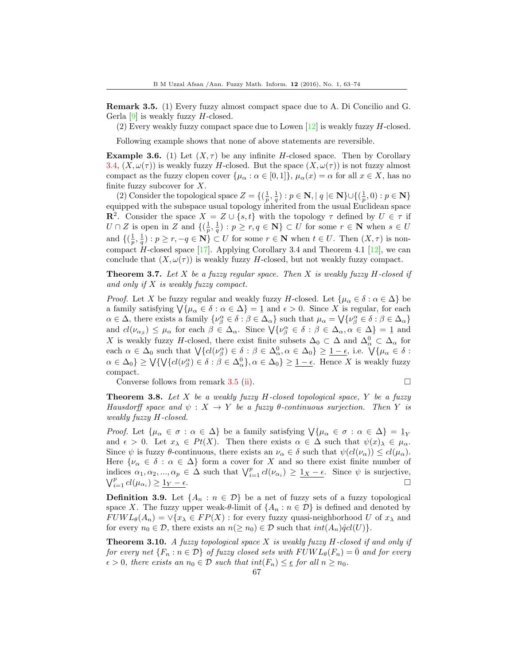Remark 3.5. (1) Every fuzzy almost compact space due to A. Di Concilio and G. Gerla  $[9]$  is weakly fuzzy H-closed.

(2) Every weakly fuzzy compact space due to Lowen  $[12]$  is weakly fuzzy H-closed.

Following example shows that none of above statements are reversible.

<span id="page-4-1"></span>**Example 3.6.** (1) Let  $(X, \tau)$  be any infinite H-closed space. Then by Corollary 3.4,  $(X, \omega(\tau))$  is weakly fuzzy H-closed. But the space  $(X, \omega(\tau))$  is not fuzzy almost compact as the fuzzy clopen cover  $\{\mu_\alpha : \alpha \in [0,1]\}, \mu_\alpha(x) = \alpha$  for all  $x \in X$ , has no finite fuzzy subcover for  $X$ .

(2) Consider the topological space  $Z = \{(\frac{1}{p}, \frac{1}{q}) : p \in \mathbb{N}, |q| \in \mathbb{N}\} \cup \{(\frac{1}{p}, 0) : p \in \mathbb{N}\}\$ equipped with the subspace usual topology inherited from the usual Euclidean space **R**<sup>2</sup>. Consider the space  $X = Z \cup \{s,t\}$  with the topology  $\tau$  defined by  $U \in \tau$  if  $U \cap Z$  is open in Z and  $\{(\frac{1}{p}, \frac{1}{q}) : p \geq r, q \in \mathbb{N}\}\subset U$  for some  $r \in \mathbb{N}$  when  $s \in U$ and  $\{(\frac{1}{p}, \frac{1}{q}) : p \ge r, -q \in \mathbb{N}\}\subset U$  for some  $r \in \mathbb{N}$  when  $t \in U$ . Then  $(X, \tau)$  is noncompact H-closed space  $[17]$ . Applying Corollary 3.4 and Theorem 4.1  $[12]$ , we can conclude that  $(X, \omega(\tau))$  is weakly fuzzy H-closed, but not weakly fuzzy compact.

<span id="page-4-2"></span>**Theorem 3.7.** Let X be a fuzzy regular space. Then X is weakly fuzzy  $H$ -closed if and only if  $X$  is weakly fuzzy compact.

*Proof.* Let X be fuzzy regular and weakly fuzzy H-closed. Let  $\{\mu_{\alpha} \in \delta : \alpha \in \Delta\}$  be a family satisfying  $\bigvee \{\mu_{\alpha} \in \delta : \alpha \in \Delta\} = \underline{1}$  and  $\epsilon > 0$ . Since X is regular, for each  $\alpha \in \Delta$ , there exists a family  $\{\nu_{\beta}^{\alpha} \in \delta : \beta \in \Delta_{\alpha}\}\$  such that  $\mu_{\alpha} = \bigvee \{\nu_{\beta}^{\alpha} \in \delta : \beta \in \Delta_{\alpha}\}\$ and  $cl(\nu_{\alpha\beta}) \leq \mu_{\alpha}$  for each  $\beta \in \Delta_{\alpha}$ . Since  $\bigvee \{\nu_{\beta}^{\alpha} \in \delta : \beta \in \Delta_{\alpha}, \alpha \in \Delta\} = 1$  and X is weakly fuzzy H-closed, there exist finite subsets  $\Delta_0 \subset \Delta$  and  $\Delta_\alpha^0 \subset \Delta_\alpha$  for each  $\alpha \in \Delta_0$  such that  $\bigvee \{ cl(\nu_\beta^\alpha) \in \delta : \beta \in \Delta_\alpha^0, \alpha \in \Delta_0 \} \geq \underline{1-\epsilon}$ , i.e.  $\bigvee \{ \mu_\alpha \in \delta : \beta \in \Delta_\alpha^0, \alpha \in \Delta_0 \}$  $\alpha \in \Delta_0$ }  $\geq \bigvee \{\bigvee \{c l(\nu_{\beta}^{\alpha}) \in \delta : \beta \in \Delta_{\alpha}^0\}, \alpha \in \Delta_0\} \geq \underline{1-\epsilon}$ . Hence X is weakly fuzzy compact.

Converse follows from remark 3.5 (ii).  $\Box$ 

<span id="page-4-0"></span>**Theorem 3.8.** Let X be a weakly fuzzy  $H$ -closed topological space, Y be a fuzzy Hausdorff space and  $\psi : X \to Y$  be a fuzzy  $\theta$ -continuous surjection. Then Y is weakly fuzzy H-closed.

*Proof.* Let  $\{\mu_{\alpha} \in \sigma : \alpha \in \Delta\}$  be a family satisfying  $\forall \{\mu_{\alpha} \in \sigma : \alpha \in \Delta\} = \mathbb{1}_Y$ and  $\epsilon > 0$ . Let  $x_{\lambda} \in Pt(X)$ . Then there exists  $\alpha \in \Delta$  such that  $\psi(x)_{\lambda} \in \mu_{\alpha}$ . Since  $\psi$  is fuzzy  $\theta$ -continuous, there exists an  $\nu_{\alpha} \in \delta$  such that  $\psi(cl(\nu_{\alpha})) \le cl(\mu_{\alpha})$ . Here  $\{\nu_{\alpha} \in \delta : \alpha \in \Delta\}$  form a cover for X and so there exist finite number of indices  $\alpha_1, \alpha_2, ..., \alpha_p \in \Delta$  such that  $\bigvee_{i=1}^p cl(\nu_{\alpha_i}) \geq \underline{1_X - \epsilon}$ . Since  $\psi$  is surjective,  $\bigvee_{i=1}^p cl(\mu_{\alpha_i}) \geq \underline{1_Y - \epsilon}.$ 

**Definition 3.9.** Let  $\{A_n : n \in \mathcal{D}\}\$ be a net of fuzzy sets of a fuzzy topological space X. The fuzzy upper weak- $\theta$ -limit of  $\{A_n : n \in \mathcal{D}\}\$ is defined and denoted by  $FUWL_{\theta}(A_n) = \sqrt{\chi_{\lambda}} \in FP(X)$ : for every fuzzy quasi-neighborhood U of  $x_{\lambda}$  and for every  $n_0 \in \mathcal{D}$ , there exists an  $n(\geq n_0) \in \mathcal{D}$  such that  $int(A_n)\hat{q}cl(U)$ .

**Theorem 3.10.** A fuzzy topological space X is weakly fuzzy  $H$ -closed if and only if for every net  $\{F_n : n \in \mathcal{D}\}\$  of fuzzy closed sets with  $FUWL_{\theta}(F_n) = \overline{0}$  and for every  $\epsilon > 0$ , there exists an  $n_0 \in \mathcal{D}$  such that  $int(F_n) \leq \epsilon$  for all  $n \geq n_0$ .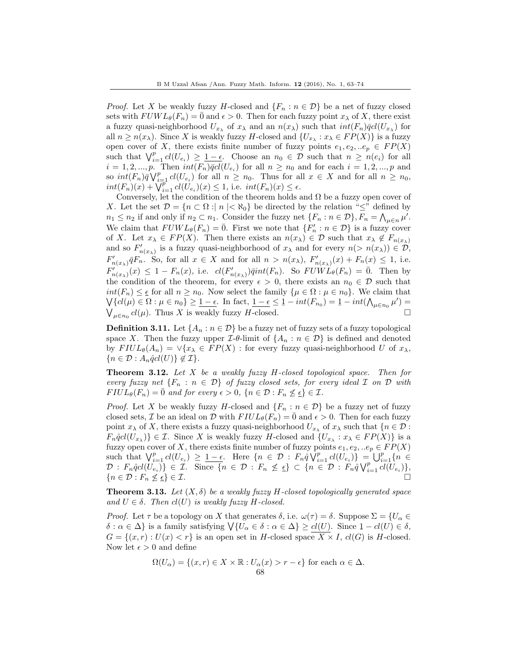*Proof.* Let X be weakly fuzzy H-closed and  $\{F_n : n \in \mathcal{D}\}\$  be a net of fuzzy closed sets with  $FUWL_{\theta}(F_n) = \overline{0}$  and  $\epsilon > 0$ . Then for each fuzzy point  $x_{\lambda}$  of X, there exist a fuzzy quasi-neighborhood  $U_{x_\lambda}$  of  $x_\lambda$  and an  $n(x_\lambda)$  such that  $int(F_n)\bar{q}cl(U_{x_\lambda})$  for all  $n \ge n(x_\lambda)$ . Since X is weakly fuzzy H-closed and  $\{U_{x_\lambda} : x_\lambda \in FP(X)\}\)$  is a fuzzy open cover of X, there exists finite number of fuzzy points  $e_1, e_2, \ldots e_p \in FP(X)$ such that  $\bigvee_{i=1}^p cl(U_{e_i}) \geq \underline{1-\epsilon}$ . Choose an  $n_0 \in \mathcal{D}$  such that  $n \geq n(e_i)$  for all  $i = 1, 2, ..., p.$  Then  $int(F_n)\overline{q}cl(U_{e_i})$  for all  $n \geq n_0$  and for each  $i = 1, 2, ..., p$  and so  $int(F_n)\overline{q}\bigvee_{i=1}^p c l(U_{e_i})$  for all  $n \geq n_0$ . Thus for all  $x \in X$  and for all  $n \geq n_0$ ,  $int(F_n)(x) + \sqrt{t_{i-1}^p}$   $cl(U_{e_i})(x) \leq 1$ , i.e.  $int(F_n)(x) \leq \epsilon$ .

Conversely, let the condition of the theorem holds and  $\Omega$  be a fuzzy open cover of X. Let the set  $\mathcal{D} = \{n \subset \Omega : |n| < \aleph_0\}$  be directed by the relation " $\leq$ " defined by  $n_1 \leq n_2$  if and only if  $n_2 \subset n_1$ . Consider the fuzzy net  $\{F_n : n \in \mathcal{D}\}, F_n = \bigwedge_{\mu \in n} \mu'.$ We claim that  $FUWL_{\theta}(F_n) = \overline{0}$ . First we note that  $\{F'_n : n \in \mathcal{D}\}\)$  is a fuzzy cover of X. Let  $x_{\lambda} \in FP(X)$ . Then there exists an  $n(x_{\lambda}) \in \mathcal{D}$  such that  $x_{\lambda} \notin F_{n(x_{\lambda})}$ and so  $F'_{n(x_{\lambda})}$  is a fuzzy quasi-neighborhood of  $x_{\lambda}$  and for every  $n(> n(x_{\lambda})) \in \mathcal{D}$ ,  $F'_{n(x_{\lambda})}\bar{q}F_{n}$ . So, for all  $x \in X$  and for all  $n > n(x_{\lambda})$ ,  $F'_{n(x_{\lambda})}(x) + F_{n}(x) \leq 1$ , i.e.  $F'_{n(x_{\lambda})}(x) \leq 1 - F_n(x)$ , i.e.  $cl(F'_{n(x_{\lambda})})\overline{q}int(F_n)$ . So  $FU\overline{W}L_{\theta}(F_n) = \overline{0}$ . Then by the condition of the theorem, for every  $\epsilon > 0$ , there exists an  $n_0 \in \mathcal{D}$  such that  $int(F_n) \leq \epsilon$  for all  $n \geq n_0$ . Now select the family  $\{\mu \in \Omega : \mu \in n_0\}$ . We claim that  $\bigvee \{ cl(\mu) \in \Omega : \mu \in n_0 \} \geq \underbrace{1-\epsilon}$ . In fact,  $\underbrace{1-\epsilon} \leq \underbrace{1-int(F_{n_0})} = \underbrace{1-int(\bigwedge_{\mu \in n_0} \mu')}$  $\bigvee_{\mu \in n_0} cl(\mu)$ . Thus X is weakly fuzzy H-closed.

**Definition 3.11.** Let  $\{A_n : n \in \mathcal{D}\}\$  be a fuzzy net of fuzzy sets of a fuzzy topological space X. Then the fuzzy upper  $\mathcal{I}\text{-}\theta$ -limit of  $\{A_n : n \in \mathcal{D}\}\$  is defined and denoted by  $FlUL_{\theta}(A_n) = \vee \{x_{\lambda} \in FP(X) : \text{for every fuzzy quasi-neighborhood } U \text{ of } x_{\lambda},\}$  $\{n \in \mathcal{D} : A_n \hat{q}cl(U)\} \notin \mathcal{I}\}.$ 

**Theorem 3.12.** Let  $X$  be a weakly fuzzy  $H$ -closed topological space. Then for every fuzzy net  $\{F_n : n \in \mathcal{D}\}\$  of fuzzy closed sets, for every ideal  $\mathcal I$  on  $\mathcal D$  with  $FIUL_{\theta}(F_n) = \overline{0}$  and for every  $\epsilon > 0$ ,  $\{n \in \mathcal{D} : F_n \nleq \epsilon\} \in \mathcal{I}$ .

*Proof.* Let X be weakly fuzzy H-closed and  $\{F_n : n \in \mathcal{D}\}\$  be a fuzzy net of fuzzy closed sets, *I* be an ideal on *D* with  $FlUL_{\theta}(F_n) = \overline{0}$  and  $\epsilon > 0$ . Then for each fuzzy point  $x_\lambda$  of X, there exists a fuzzy quasi-neighborhood  $U_{x_\lambda}$  of  $x_\lambda$  such that  $\{n \in \mathcal{D} :$  $F_n\hat{q}cl(U_{x_{\lambda}})\}\in\mathcal{I}$ . Since X is weakly fuzzy H-closed and  $\{U_{x_{\lambda}}:x_{\lambda}\in FP(X)\}\$ is a fuzzy open cover of X, there exists finite number of fuzzy points  $e_1, e_2, ...e_p \in FP(X)$ such that  $\bigvee_{i=1}^p cl(U_{e_i}) \geq \underline{1-\epsilon}$ . Here  $\{n \in \mathcal{D} : F_n \hat{q} \setminus_{i=1}^p cl(U_{e_i})\} = \bigcup_{i=1}^p \{n \in \mathcal{D} : F_n \hat{q} \setminus_{i=1}^p cl(U_{e_i})\}$  $\mathcal{D}: F_n\hat{q}cl(\dot{U}_{e_i})\}\in \mathcal{I}.$  Since  $\{n \in \mathcal{D}: F_n \nleq \underline{\epsilon}\}\subset \{n \in \mathcal{D}: F_n\hat{q}\bigvee_{i=1}^p cl(\dot{U}_{e_i})\},$  ${n \in \mathcal{D} : F_n \nleq \underline{\epsilon}} \in \mathcal{I}.$ 

<span id="page-5-0"></span>**Theorem 3.13.** Let  $(X, \delta)$  be a weakly fuzzy H-closed topologically generated space and  $U \in \delta$ . Then  $cl(U)$  is weakly fuzzy H-closed.

*Proof.* Let  $\tau$  be a topology on X that generates  $\delta$ , i.e.  $\omega(\tau) = \delta$ . Suppose  $\Sigma = \{U_{\alpha} \in$  $\delta : \alpha \in \Delta$  is a family satisfying  $\bigvee \{U_{\alpha} \in \delta : \alpha \in \Delta\} \geq cl(U)$ . Since  $\underline{1} - cl(U) \in \delta$ ,  $G = \{(x, r): U(x) < r\}$  is an open set in H-closed space  $\overline{X} \times I$ ,  $cl(G)$  is H-closed. Now let  $\epsilon > 0$  and define

$$
\Omega(U_{\alpha}) = \{ (x, r) \in X \times \mathbb{R} : U_{\alpha}(x) > r - \epsilon \} \text{ for each } \alpha \in \Delta.
$$
  
68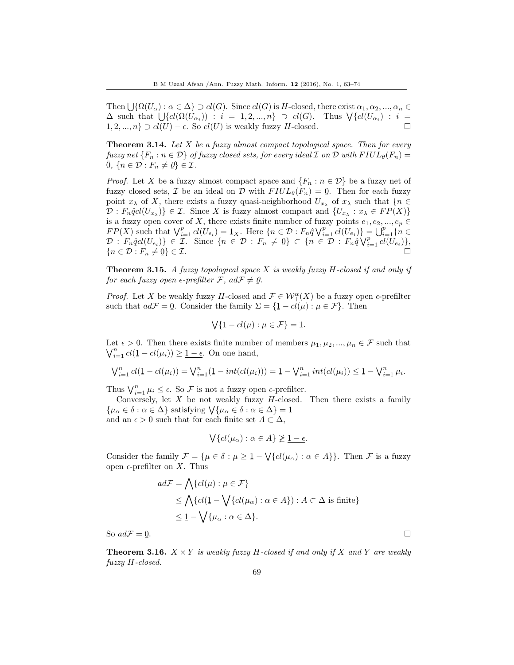Then  $\bigcup \{ \Omega(U_\alpha) : \alpha \in \Delta \} \supset cl(G)$ . Since  $cl(G)$  is H-closed, there exist  $\alpha_1, \alpha_2, ..., \alpha_n \in$  $\Delta$  such that  $\bigcup \{ cl(D(\mathbb{U}_{\alpha_i})) : i = 1, 2, ..., n \} \supset cl(G)$ . Thus  $\bigvee \{ cl(U_{\alpha_i}) : i = 1, 2, ..., n \}$ 1, 2, ..., *n*} ⊃  $cl(U) - \epsilon$ . So  $cl(U)$  is weakly fuzzy *H*-closed.

**Theorem 3.14.** Let  $X$  be a fuzzy almost compact topological space. Then for every fuzzy net  ${F_n : n \in \mathcal{D}}$  of fuzzy closed sets, for every ideal  $\mathcal I$  on  $\mathcal D$  with  $FIUL_\theta(F_n)$  $\overline{0}$ ,  $\{n \in \mathcal{D} : F_n \neq \emptyset\} \in \mathcal{I}$ .

*Proof.* Let X be a fuzzy almost compact space and  $\{F_n : n \in \mathcal{D}\}\$  be a fuzzy net of fuzzy closed sets,  $\mathcal I$  be an ideal on  $\mathcal D$  with  $FlUL_{\theta}(F_n) = 0$ . Then for each fuzzy point  $x_{\lambda}$  of X, there exists a fuzzy quasi-neighborhood  $U_{x_{\lambda}}$  of  $x_{\lambda}$  such that  $\{n \in$  $\mathcal{D}: F_n\hat{q}cl(U_{x_{\lambda}})\}\in \mathcal{I}.$  Since X is fuzzy almost compact and  $\{U_{x_{\lambda}}: x_{\lambda}\in FP(X)\}\$ is a fuzzy open cover of X, there exists finite number of fuzzy points  $e_1, e_2, ..., e_p \in$  $FP(X)$  such that  $\bigvee_{i=1}^{p} cl(U_{e_i}) = 1_X$ . Here  $\{n \in \mathcal{D} : F_n \hat{q} \bigvee_{i=1}^{p} cl(U_{e_i})\} = \bigcup_{i=1}^{p} \{n \in \mathcal{D} : F_n \hat{q} \bigvee_{i=1}^{p} cl(U_{e_i})\}$  $\mathcal{D}: F_n \hat{q}cl(U_{e_i}) \in \mathcal{I}.$  Since  $\{n \in \mathcal{D}: F_n \neq 0\} \subset \{n \in \mathcal{D}: F_n \hat{q} \vee_{i=1}^p cl(U_{e_i})\},$  ${n \in \mathcal{D} : F_n \neq 0}$  $\} \in \mathcal{I}.$ 

**Theorem 3.15.** A fuzzy topological space X is weakly fuzzy  $H$ -closed if and only if for each fuzzy open  $\epsilon$ -prefilter  $\mathcal{F}$ ,  $ad\mathcal{F} \neq 0$ .

*Proof.* Let X be weakly fuzzy H-closed and  $\mathcal{F} \in \mathcal{W}_+^{\alpha}(X)$  be a fuzzy open  $\epsilon$ -prefilter such that  $ad\mathcal{F} = 0$ . Consider the family  $\Sigma = \{1 - cl(\mu) : \mu \in \mathcal{F}\}\.$  Then

$$
\bigvee \{ \underline{1} - cl(\mu) : \mu \in \mathcal{F} \} = \underline{1}.
$$

Let  $\epsilon > 0$ . Then there exists finite number of members  $\mu_1, \mu_2, ..., \mu_n \in \mathcal{F}$  such that  $\bigvee_{i=1}^{n} cl(1-cl(\mu_i)) \geq \underline{1-\epsilon}$ . On one hand,

$$
\bigvee_{i=1}^{n} cl(1-cl(\mu_i)) = \bigvee_{i=1}^{n} (1-int(cl(\mu_i))) = 1 - \bigvee_{i=1}^{n} int(cl(\mu_i)) \leq 1 - \bigvee_{i=1}^{n} \mu_i.
$$

Thus  $\bigvee_{i=1}^{n} \mu_i \leq \epsilon$ . So  $\mathcal F$  is not a fuzzy open  $\epsilon$ -prefilter.

Conversely, let  $X$  be not weakly fuzzy  $H$ -closed. Then there exists a family  $\{\mu_{\alpha} \in \delta : \alpha \in \Delta\}$  satisfying  $\forall \{\mu_{\alpha} \in \delta : \alpha \in \Delta\} = 1$ <br>and an  $\epsilon > 0$  such that for each finite set  $A \subseteq \Delta$ and an  $\epsilon > 0$  such that for each finite set  $A \subset \Delta$ ,

$$
\bigvee \{ cl(\mu_{\alpha}) : \alpha \in A \} \ngeq \underline{1 - \epsilon}.
$$

Consider the family  $\mathcal{F} = {\mu \in \delta : \mu \ge 1} - \bigvee {\{cl(\mu_{\alpha}) : \alpha \in A\}}$ . Then  $\mathcal{F}$  is a fuzzy open  $\epsilon$ -prefilter on X. Thus

$$
ad\mathcal{F} = \bigwedge \{ cl(\mu) : \mu \in \mathcal{F} \}
$$
  
\n
$$
\leq \bigwedge \{ cl(\underline{1} - \bigvee \{ cl(\mu_{\alpha}) : \alpha \in A \} ) : A \subset \Delta \text{ is finite} \}
$$
  
\n
$$
\leq \underline{1} - \bigvee \{ \mu_{\alpha} : \alpha \in \Delta \}.
$$

So  $ad\mathcal{F} = \mathbf{0}$ 

**Theorem 3.16.**  $X \times Y$  is weakly fuzzy H-closed if and only if X and Y are weakly fuzzy H-closed.

. В последните последните последните последните последните последните последните последните последните последн<br>В 1990 година от селото на селото на селото на селото на селото на селото на селото на селото на селото на сел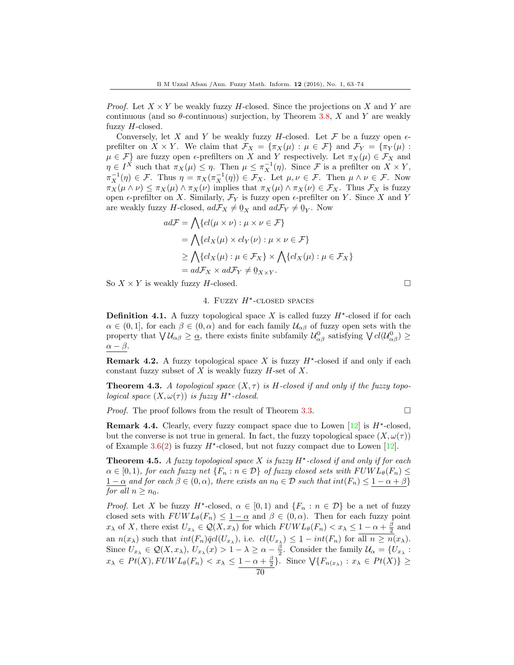*Proof.* Let  $X \times Y$  be weakly fuzzy H-closed. Since the projections on X and Y are continuous (and so  $\theta$ -continuous) surjection, by Theorem [3.8,](#page-4-0) X and Y are weakly fuzzy  $H$ -closed.

Conversely, let X and Y be weakly fuzzy H-closed. Let F be a fuzzy open  $\epsilon$ prefilter on  $X \times Y$ . We claim that  $\mathcal{F}_X = {\pi_X(\mu) : \mu \in \mathcal{F}}$  and  $\mathcal{F}_Y = {\pi_Y(\mu) : \mu \in \mathcal{F}}$  $\mu \in \mathcal{F}$  are fuzzy open  $\epsilon$ -prefilters on X and Y respectively. Let  $\pi_X(\mu) \in \mathcal{F}_X$  and  $\eta \in I^{\tilde{X}}$  such that  $\pi_X(\mu) \leq \eta$ . Then  $\mu \leq \pi_X^{-1}(\eta)$ . Since F is a prefilter on  $X \times Y$ ,  $\pi_X^{-1}(\eta) \in \mathcal{F}$ . Thus  $\eta = \pi_X(\pi_X^{-1}(\eta)) \in \mathcal{F}_X$ . Let  $\mu, \nu \in \mathcal{F}$ . Then  $\mu \wedge \nu \in \mathcal{F}$ . Now  $\pi_X(\mu \wedge \nu) \leq \pi_X(\mu) \wedge \pi_X(\nu)$  implies that  $\pi_X(\mu) \wedge \pi_X(\nu) \in \mathcal{F}_X$ . Thus  $\mathcal{F}_X$  is fuzzy open  $\epsilon$ -prefilter on X. Similarly,  $\mathcal{F}_Y$  is fuzzy open  $\epsilon$ -prefilter on Y. Since X and Y are weakly fuzzy *H*-closed,  $ad\mathcal{F}_X \neq \mathbf{0}_X$  and  $ad\mathcal{F}_Y \neq \mathbf{0}_Y$ . Now

$$
ad\mathcal{F} = \bigwedge \{ cl(\mu \times \nu) : \mu \times \nu \in \mathcal{F} \}
$$
  
= 
$$
\bigwedge \{ cl_X(\mu) \times cl_Y(\nu) : \mu \times \nu \in \mathcal{F} \}
$$
  

$$
\geq \bigwedge \{ cl_X(\mu) : \mu \in \mathcal{F}_X \} \times \bigwedge \{ cl_X(\mu) : \mu \in \mathcal{F}_X \}
$$
  
= 
$$
ad\mathcal{F}_X \times ad\mathcal{F}_Y \neq 0_{X \times Y}.
$$

So  $X \times Y$  is weakly fuzzy H-closed.

## 4. FUZZY  $H^*$ -CLOSED SPACES

**Definition 4.1.** A fuzzy topological space X is called fuzzy  $H^*$ -closed if for each  $\alpha \in (0,1]$ , for each  $\beta \in (0,\alpha)$  and for each family  $\mathcal{U}_{\alpha\beta}$  of fuzzy open sets with the property that  $\bigvee \mathcal{U}_{\alpha\beta} \geq \underline{\alpha}$ , there exists finite subfamily  $\mathcal{U}^0_{\alpha\beta}$  satisfying  $\bigvee cl(\mathcal{U}^0_{\alpha\beta}) \geq$  $\alpha - \beta$ .

**Remark 4.2.** A fuzzy topological space X is fuzzy  $H^*$ -closed if and only if each constant fuzzy subset of  $X$  is weakly fuzzy  $H$ -set of  $X$ .

**Theorem 4.3.** A topological space  $(X, \tau)$  is H-closed if and only if the fuzzy topological space  $(X, \omega(\tau))$  is fuzzy  $H^*$ -closed.

*Proof.* The proof follows from the result of Theorem [3.3.](#page-3-0)

**Remark 4.4.** Clearly, every fuzzy compact space due to Lowen  $[12]$  is  $H^*$ -closed, but the converse is not true in general. In fact, the fuzzy topological space  $(X, \omega(\tau))$ of Example  $3.6(2)$  $3.6(2)$  is fuzzy  $H^*$ -closed, but not fuzzy compact due to Lowen [\[12\]](#page-11-1).

**Theorem 4.5.** A fuzzy topological space X is fuzzy  $H^*$ -closed if and only if for each  $\alpha \in [0,1)$ , for each fuzzy net  $\{F_n : n \in \mathcal{D}\}\$  of fuzzy closed sets with  $FWL_{\theta}(F_n) \leq$  $1 - \alpha$  and for each  $\beta \in (0, \alpha)$ , there exists an  $n_0 \in \mathcal{D}$  such that  $int(F_n) \leq 1 - \alpha + \beta$ for all  $n \geq n_0$ .

*Proof.* Let X be fuzzy  $H^*$ -closed,  $\alpha \in [0,1)$  and  $\{F_n : n \in \mathcal{D}\}\$  be a net of fuzzy closed sets with  $FUWL_{\theta}(F_n) \leq 1-\alpha$  and  $\beta \in (0,\alpha)$ . Then for each fuzzy point  $x_{\lambda}$  of X, there exist  $U_{x_{\lambda}} \in \mathcal{Q}(X, x_{\lambda})$  for which  $FUWL_{\theta}(F_n) < x_{\lambda} \leq 1 - \alpha + \frac{\beta}{2}$  and an  $n(x_\lambda)$  such that  $int(F_n)\overline{q}cl(U_{x_\lambda})$ , i.e.  $cl(U_{x_\lambda}) \leq 1-int(F_n)$  for all  $n \geq n(x_\lambda)$ .<br>Since  $U_n \in \mathcal{O}(X_{n-1})$ ,  $U_n(x_\lambda) \geq 1$ ,  $\beta$ , Consider the family  $\mathcal{U}_n$  (*U*<sub>n</sub>). Since  $U_{x_{\lambda}} \in \mathcal{Q}(X, x_{\lambda}), U_{x_{\lambda}}(x) > 1 - \lambda \geq \alpha - \frac{\beta}{2}$ . Consider the family  $\mathcal{U}_{\alpha} = \{U_{x_{\lambda}} :$  $x_{\lambda} \in Pt(X), FUWL_{\theta}(F_n) < x_{\lambda} \leq 1 - \alpha + \frac{\beta}{2}$ . Since  $\bigvee \{F_{n(x_{\lambda})} : x_{\lambda} \in Pt(X)\} \geq$ 70

$$
\overline{}
$$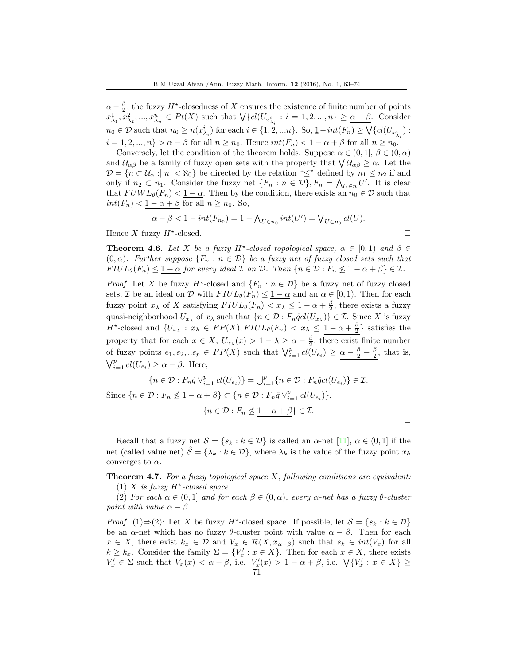$\alpha - \frac{\beta}{2}$ , the fuzzy  $H^*$ -closedness of X ensures the existence of finite number of points  $x_{\lambda_1}^1, x_{\lambda_2}^2, ..., x_{\lambda_n}^n \in Pt(X)$  such that  $\bigvee\{cl(U_{x_{\lambda_i}^i}: i = 1, 2, ..., n\} \ge \underline{\alpha - \beta}$ . Consider  $n_0 \in \mathcal{D}$  such that  $n_0 \ge n(x_{\lambda_i}^i)$  for each  $i \in \{1, 2, \ldots n\}$ . So,  $1-int(F_n) \ge \bigvee \{cl(U_{x_{\lambda_i}^i}) :$  $i = 1, 2, ..., n$ } >  $\alpha - \beta$  for all  $n \ge n_0$ . Hence  $int(F_n) < 1 - \alpha + \beta$  for all  $n \ge n_0$ .

Conversely, let the condition of the theorem holds. Suppose  $\alpha \in (0,1], \beta \in (0,\alpha)$ and  $\mathcal{U}_{\alpha\beta}$  be a family of fuzzy open sets with the property that  $\bigvee \mathcal{U}_{\alpha\beta} \geq \underline{\alpha}$ . Let the  $\mathcal{D} = \{n \subset \mathcal{U}_{\alpha} : |n| < \aleph_0\}$  be directed by the relation " $\leq$ " defined by  $n_1 \leq n_2$  if and only if  $n_2 \subset n_1$ . Consider the fuzzy net  $\{F_n : n \in \mathcal{D}\}, F_n = \bigwedge_{U \in n} U'$ . It is clear that  $FUWL_{\theta}(F_n) < 1 - \alpha$ . Then by the condition, there exists an  $n_0 \in \mathcal{D}$  such that  $int(F_n) < 1 - \alpha + \beta$  for all  $n \ge n_0$ . So,

$$
\underline{\alpha - \beta} < 1 - int(F_{n_0}) = 1 - \bigwedge_{U \in n_0} int(U') = \bigvee_{U \in n_0} cl(U).
$$
\nzzy  $H^*$ -closed.

 \Box

Hence X fuzzy  $H^*$ -closed.

**Theorem 4.6.** Let X be a fuzzy  $H^*$ -closed topological space,  $\alpha \in [0,1)$  and  $\beta \in$  $(0, \alpha)$ . Further suppose  $\{F_n : n \in \mathcal{D}\}$  be a fuzzy net of fuzzy closed sets such that  $FlUL_{\theta}(F_n) \leq 1-\alpha$  for every ideal  $\mathcal I$  on  $\mathcal D$ . Then  $\{n \in \mathcal D : F_n \nleq 1-\alpha+\beta\} \in \mathcal I$ .

*Proof.* Let X be fuzzy  $H^*$ -closed and  $\{F_n : n \in \mathcal{D}\}\$ be a fuzzy net of fuzzy closed sets, *I* be an ideal on *D* with  $FIUL_{\theta}(F_n) \leq \underline{1-\alpha}$  and an  $\alpha \in [0,1)$ . Then for each fuzzy point  $x_{\lambda}$  of X satisfying  $FlUL_{\theta}(F_n) < x_{\lambda} \leq 1 - \alpha + \frac{\beta}{2}$ , there exists a fuzzy quasi-neighborhood  $U_{x_{\lambda}}$  of  $x_{\lambda}$  such that  $\{n \in \mathcal{D} : F_n \hat{q}cl(U_{x_{\lambda}})\} \in \mathcal{I}$ . Since X is fuzzy  $H^*$ -closed and  $\{U_{x_\lambda}: x_\lambda \in FP(X), FIUL_{\theta}(F_n) < x_\lambda \leq 1-\alpha+\frac{\beta}{2}\}\$  satisfies the property that for each  $x \in X$ ,  $U_{x_{\lambda}}(x) > 1 - \lambda \ge \alpha - \frac{\beta}{2}$ , there exist finite number of fuzzy points  $e_1, e_2, ...e_p \in FP(X)$  such that  $\bigvee_{i=1}^p cl(U_{e_i}) \geq \alpha - \frac{\beta}{2} - \frac{\beta}{2}$ , that is,  $\bigvee_{i=1}^{p} cl(U_{e_i}) \geq \underline{\alpha - \beta}$ . Here,

$$
\{n \in \mathcal{D} : F_n \hat{q} \vee_{i=1}^p cl(U_{e_i})\} = \bigcup_{i=1}^p \{n \in \mathcal{D} : F_n \hat{q}cl(U_{e_i})\} \in \mathcal{I}.
$$
  
Since  $\{n \in \mathcal{D} : F_n \nleq \underline{1 - \alpha + \beta}\} \subset \{n \in \mathcal{D} : F_n \hat{q} \vee_{i=1}^p cl(U_{e_i})\},\$   
 $\{n \in \mathcal{D} : F_n \nleq \underline{1 - \alpha + \beta}\} \in \mathcal{I}.$ 

 $\Box$ 

Recall that a fuzzy net  $S = \{s_k : k \in \mathcal{D}\}\$ is called an  $\alpha$ -net [\[11\]](#page-11-6),  $\alpha \in (0, 1]$  if the net (called value net)  $\hat{S} = \{\lambda_k : k \in \mathcal{D}\}\$ , where  $\lambda_k$  is the value of the fuzzy point  $x_k$ converges to  $\alpha$ .

**Theorem 4.7.** For a fuzzy topological space  $X$ , following conditions are equivalent: (1) X is fuzzy  $H^*$ -closed space.

(2) For each  $\alpha \in (0,1]$  and for each  $\beta \in (0,\alpha)$ , every  $\alpha$ -net has a fuzzy  $\theta$ -cluster point with value  $\alpha - \beta$ .

*Proof.* (1)⇒(2): Let X be fuzzy H<sup>\*</sup>-closed space. If possible, let  $S = \{s_k : k \in \mathcal{D}\}\$ be an  $\alpha$ -net which has no fuzzy  $\theta$ -cluster point with value  $\alpha - \beta$ . Then for each  $x \in X$ , there exist  $k_x \in \mathcal{D}$  and  $V_x \in \mathcal{R}(X, x_{\alpha-\beta})$  such that  $s_k \in int(V_x)$  for all  $k \geq k_x$ . Consider the family  $\Sigma = \{V'_x : x \in X\}$ . Then for each  $x \in X$ , there exists  $V'_x \in \Sigma$  such that  $V_x(x) < \alpha - \beta$ , i.e.  $V'_x(x) > 1 - \alpha + \beta$ , i.e.  $\forall \{V'_x : x \in X\} \geq$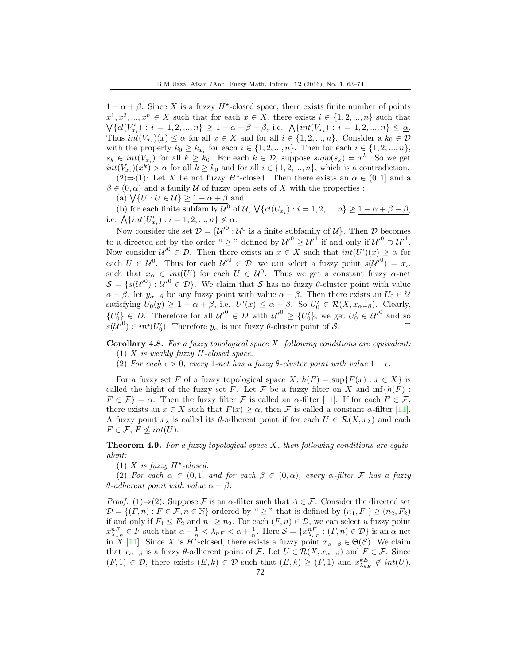$1 - \alpha + \beta$ . Since X is a fuzzy H<sup>\*</sup>-closed space, there exists finite number of points  $x^1, x^2, ..., x^n \in X$  such that for each  $x \in X$ , there exists  $i \in \{1, 2, ..., n\}$  such that  $\bigvee \{ cl(V'_{x_i}) : i = 1, 2, ..., n \} \ge \underline{1 - \alpha + \beta - \beta}$ , i.e.  $\bigwedge \{ int(V_{x_i}) : i = 1, 2, ..., n \} \le \underline{\alpha}$ . Thus  $int(V_{x_i})(x) \leq \alpha$  for all  $x \in X$  and for all  $i \in \{1, 2, ..., n\}$ . Consider a  $k_0 \in \mathcal{D}$ with the property  $k_0 \geq k_{x_i}$  for each  $i \in \{1, 2, ..., n\}$ . Then for each  $i \in \{1, 2, ..., n\}$ ,  $s_k \in int(V_{x_i})$  for all  $k \geq k_0$ . For each  $k \in \mathcal{D}$ , suppose  $supp(s_k) = x^k$ . So we get  $int(V_{x_i})(x^k) > \alpha$  for all  $k \geq k_0$  and for all  $i \in \{1, 2, ..., n\}$ , which is a contradiction.  $(2) \Rightarrow (1)$ : Let X be not fuzzy H<sup>\*</sup>-closed. Then there exists an  $\alpha \in (0,1]$  and a

 $\beta \in (0, \alpha)$  and a family U of fuzzy open sets of X with the properties :

(a)  $\bigvee \{ U : U \in \mathcal{U} \} \geq 1 - \alpha + \beta$  and

(b) for each finite subfamily  $\mathcal{U}^0$  of  $\mathcal{U}, \bigvee \{cl(U_{x_i}) : i = 1, 2, ..., n\} \not\geq 1 - \alpha + \beta - \beta$ , i.e.  $\bigwedge \{int(U'_{x_i}) : i = 1, 2, ..., n\} \nleq \underline{\alpha}$ .

Now consider the set  $\mathcal{D} = {\{\mathcal{U}^{\prime}}^0 : \mathcal{U}^0 \text{ is a finite subfamily of } \mathcal{U}\}\.$  Then  $\mathcal D$  becomes to a directed set by the order "  $\geq$  " defined by  ${\mathcal{U}'}^0 \geq {\mathcal{U}'}^1$  if and only if  ${\mathcal{U}'}^0 \supset {\mathcal{U}'}^1$ . Now consider  $\mathcal{U}'^0 \in \mathcal{D}$ . Then there exists an  $x \in X$  such that  $int(U')(x) \geq \alpha$  for each  $U \in \mathcal{U}^0$ . Thus for each  $\mathcal{U}'^0 \in \mathcal{D}$ , we can select a fuzzy point  $s(\mathcal{U}'^0) = x_\alpha$ such that  $x_{\alpha} \in int(U')$  for each  $U \in \mathcal{U}^0$ . Thus we get a constant fuzzy  $\alpha$ -net  $S = \{s(\mathcal{U}^0): \mathcal{U}'^0 \in \mathcal{D}\}\$ . We claim that S has no fuzzy  $\theta$ -cluster point with value  $\alpha - \beta$ . let  $y_{\alpha-\beta}$  be any fuzzy point with value  $\alpha - \beta$ . Then there exists an  $U_0 \in \mathcal{U}$ satisfying  $U_0(y) \geq 1 - \alpha + \beta$ , i.e.  $U'(x) \leq \alpha - \beta$ . So  $U'_0 \in \mathcal{R}(X, x_{\alpha-\beta})$ . Clearly,  $\{U_0'\}\in D$ . Therefore for all  ${\mathcal{U}'}^0 \in D$  with  ${\mathcal{U}'}^0 \geq \{U_0'\}$ , we get  $U_0' \in {\mathcal{U}'}^0$  and so  $s(U') \in int(U'_0)$ . Therefore  $y_\alpha$  is not fuzzy  $\theta$ -cluster point of S.

Corollary 4.8. For a fuzzy topological space  $X$ , following conditions are equivalent:

- (1) X is weakly fuzzy  $H$ -closed space.
- (2) For each  $\epsilon > 0$ , every 1-net has a fuzzy  $\theta$ -cluster point with value  $1 \epsilon$ .

For a fuzzy set F of a fuzzy topological space  $X$ ,  $h(F) = \sup\{F(x) : x \in X\}$  is called the hight of the fuzzy set F. Let F be a fuzzy filter on X and  $\inf\{h(F):$  $F \in \mathcal{F}$  =  $\alpha$ . Then the fuzzy filter  $\mathcal F$  is called an  $\alpha$ -filter [\[11\]](#page-11-6). If for each  $F \in \mathcal F$ , there exists an  $x \in X$  such that  $F(x) \ge \alpha$ , then F is called a constant  $\alpha$ -filter [\[11\]](#page-11-6). A fuzzy point  $x_\lambda$  is called its  $\theta$ -adherent point if for each  $U \in \mathcal{R}(X, x_\lambda)$  and each  $F \in \mathcal{F}, F \nleq int(U).$ 

**Theorem 4.9.** For a fuzzy topological space  $X$ , then following conditions are equivalent:

(1) X is fuzzy  $H^{\star}$ -closed.

(2) For each  $\alpha \in (0,1]$  and for each  $\beta \in (0,\alpha)$ , every  $\alpha$ -filter F has a fuzzy θ-adherent point with value  $\alpha - \beta$ .

*Proof.* (1)⇒(2): Suppose F is an  $\alpha$ -filter such that  $A \in \mathcal{F}$ . Consider the directed set  $\mathcal{D} = \{(F, n): F \in \mathcal{F}, n \in \mathbb{N}\}\$  ordered by "  $\geq$  " that is defined by  $(n_1, F_1) \geq (n_2, F_2)$ if and only if  $F_1 \leq F_2$  and  $n_1 \geq n_2$ . For each  $(F, n) \in \mathcal{D}$ , we can select a fuzzy point  $x_{\lambda_{nF}}^{nF} \in F$  such that  $\alpha - \frac{1}{n} < \lambda_{nF} < \alpha + \frac{1}{n}$ . Here  $S = \{x_{\lambda_{nF}}^{nF} : (F, n) \in \mathcal{D}\}$  is an  $\alpha$ -net in X [\[11\]](#page-11-6). Since X is  $H^*$ -closed, there exists a fuzzy point  $x_{\alpha-\beta} \in \Theta(\mathcal{S})$ . We claim that  $x_{\alpha-\beta}$  is a fuzzy  $\theta$ -adherent point of F. Let  $U \in \mathcal{R}(X, x_{\alpha-\beta})$  and  $F \in \mathcal{F}$ . Since  $(F, 1) \in \mathcal{D}$ , there exists  $(E, k) \in \mathcal{D}$  such that  $(E, k) \geq (F, 1)$  and  $x_{\lambda_{kE}}^{kE} \notin int(U)$ .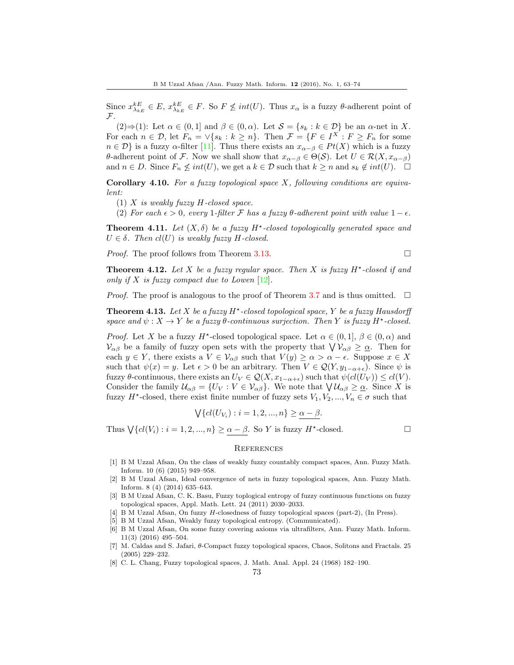Since  $x_{\lambda_{kE}}^{kE} \in E$ ,  $x_{\lambda_{kE}}^{kE} \in F$ . So  $F \nleq int(U)$ . Thus  $x_{\alpha}$  is a fuzzy  $\theta$ -adherent point of F.

(2)⇒(1): Let  $\alpha \in (0,1]$  and  $\beta \in (0,\alpha)$ . Let  $\mathcal{S} = \{s_k : k \in \mathcal{D}\}\$  be an  $\alpha$ -net in X. For each  $n \in \mathcal{D}$ , let  $F_n = \vee \{s_k : k \geq n\}$ . Then  $\mathcal{F} = \{F \in I^X : F \geq F_n \text{ for some }$  $n \in \mathcal{D}$  is a fuzzy  $\alpha$ -filter [\[11\]](#page-11-6). Thus there exists an  $x_{\alpha-\beta} \in Pt(X)$  which is a fuzzy θ-adherent point of F. Now we shall show that  $x_{\alpha-\beta} \in \Theta(S)$ . Let  $U \in \mathcal{R}(X, x_{\alpha-\beta})$ and  $n \in D$ . Since  $F_n \nleq int(U)$ , we get a  $k \in \mathcal{D}$  such that  $k \geq n$  and  $s_k \notin int(U)$ .  $\Box$ 

**Corollary 4.10.** For a fuzzy topological space  $X$ , following conditions are equivalent:

- (1)  $X$  is weakly fuzzy  $H$ -closed space.
- (2) For each  $\epsilon > 0$ , every 1-filter F has a fuzzy  $\theta$ -adherent point with value  $1 \epsilon$ .

**Theorem 4.11.** Let  $(X, \delta)$  be a fuzzy  $H^*$ -closed topologically generated space and  $U \in \delta$ . Then  $cl(U)$  is weakly fuzzy H-closed.

Proof. The proof follows from Theorem [3.13.](#page-5-0)

$$
\Box
$$

**Theorem 4.12.** Let X be a fuzzy regular space. Then X is fuzzy  $H^*$ -closed if and only if X is fuzzy compact due to Lowen  $[12]$ .

*Proof.* The proof is analogous to the proof of Theorem [3.7](#page-4-2) and is thus omitted.  $\square$ 

**Theorem 4.13.** Let X be a fuzzy  $H^*$ -closed topological space, Y be a fuzzy Hausdorff space and  $\psi: X \to Y$  be a fuzzy  $\theta$ -continuous surjection. Then Y is fuzzy  $H^{\star}$ -closed.

*Proof.* Let X be a fuzzy  $H^*$ -closed topological space. Let  $\alpha \in (0,1], \beta \in (0,\alpha)$  and  $\mathcal{V}_{\alpha\beta}$  be a family of fuzzy open sets with the property that  $\bigvee \mathcal{V}_{\alpha\beta} \geq \underline{\alpha}$ . Then for each  $y \in Y$ , there exists a  $V \in V_{\alpha\beta}$  such that  $V(y) \ge \alpha > \alpha - \epsilon$ . Suppose  $x \in X$ such that  $\psi(x) = y$ . Let  $\epsilon > 0$  be an arbitrary. Then  $V \in \mathcal{Q}(Y, y_{1-\alpha+\epsilon})$ . Since  $\psi$  is fuzzy  $\theta$ -continuous, there exists an  $U_V \in \mathcal{Q}(X, x_{1-\alpha+\epsilon})$  such that  $\psi(cl(U_V)) \le cl(V)$ . Consider the family  $\mathcal{U}_{\alpha\beta} = \{U_V : V \in \mathcal{V}_{\alpha\beta}\}\.$  We note that  $\bigvee \mathcal{U}_{\alpha\beta} \geq \underline{\alpha}$ . Since X is fuzzy  $H^*$ -closed, there exist finite number of fuzzy sets  $V_1, V_2, ..., V_n \in \sigma$  such that

$$
\bigvee \{ cl(U_{V_i}) : i = 1, 2, ..., n \} \ge \alpha - \beta.
$$

Thus  $\bigvee \{ cl(V_i) : i = 1, 2, ..., n \} \ge \alpha - \beta$ . So Y is fuzzy  $H^*$ -closed.

## **REFERENCES**

- <span id="page-10-1"></span>[1] B M Uzzal Afsan, On the class of weakly fuzzy countably compact spaces, Ann. Fuzzy Math. Inform. 10 (6) (2015) 949–958.
- <span id="page-10-2"></span>[2] B M Uzzal Afsan, Ideal convergence of nets in fuzzy topological spaces, Ann. Fuzzy Math. Inform. 8 (4) (2014) 635–643.
- <span id="page-10-3"></span>[3] B M Uzzal Afsan, C. K. Basu, Fuzzy toplogical entropy of fuzzy continuous functions on fuzzy topological spaces, Appl. Math. Lett. 24 (2011) 2030–2033.
- <span id="page-10-4"></span>[4] B M Uzzal Afsan, On fuzzy H-closedness of fuzzy topological spaces (part-2), (In Press).
- <span id="page-10-5"></span>[5] B M Uzzal Afsan, Weakly fuzzy topological entropy. (Communicated).
- <span id="page-10-6"></span>[6] B M Uzzal Afsan, On some fuzzy covering axioms via ultrafilters, Ann. Fuzzy Math. Inform. 11(3) (2016) 495–504.
- <span id="page-10-7"></span>[7] M. Caldas and S. Jafari, θ-Compact fuzzy topological spaces, Chaos, Solitons and Fractals. 25 (2005) 229–232.
- <span id="page-10-0"></span>[8] C. L. Chang, Fuzzy topological spaces, J. Math. Anal. Appl. 24 (1968) 182–190.